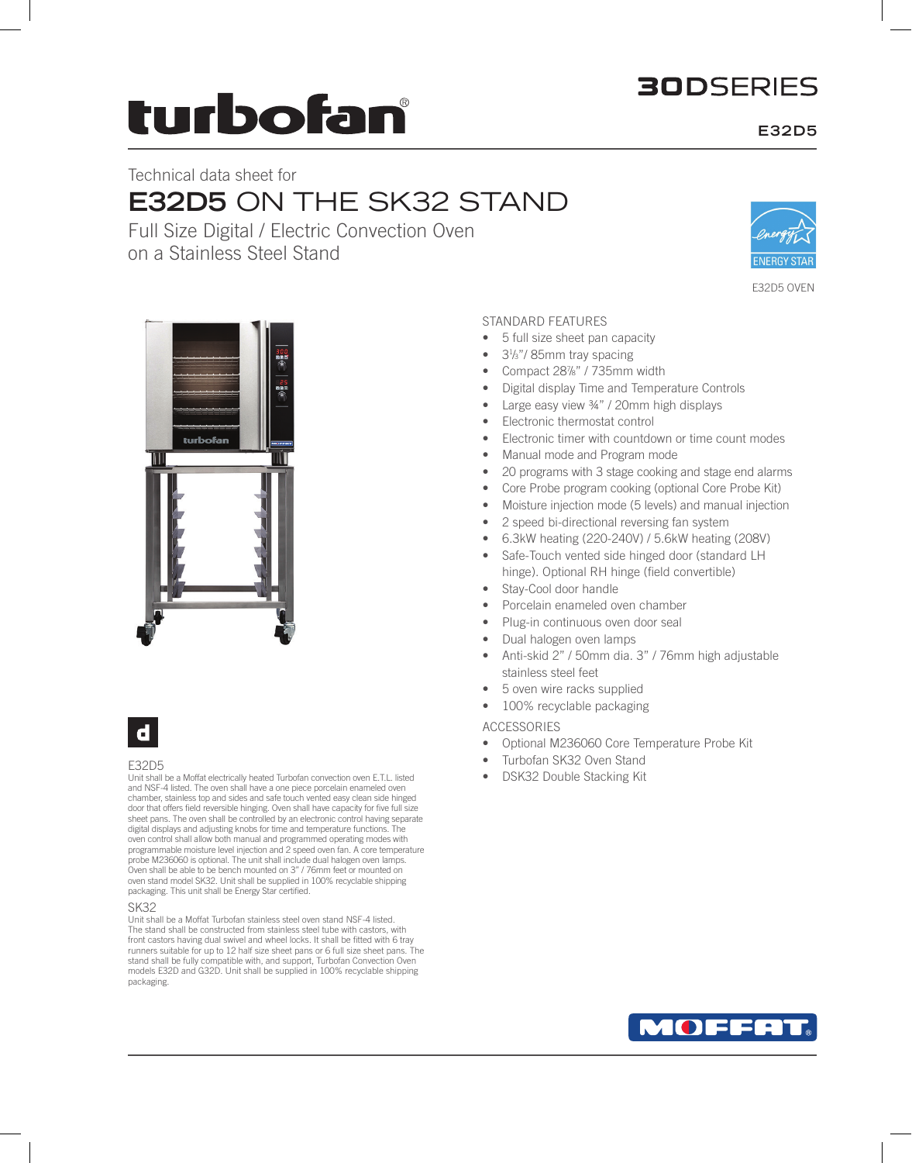## **30DSERIES**

# turbofan

Technical data sheet for

# **E32D5** ON THE SK32 STAND

Full Size Digital / Electric Convection Oven on a Stainless Steel Stand



E32D5 OVEN





#### E32D5

Unit shall be a Moffat electrically heated Turbofan convection oven E.T.L. listed and NSF-4 listed. The oven shall have a one piece porcelain enameled oven chamber, stainless top and sides and safe touch vented easy clean side hinged door that offers field reversible hinging. Oven shall have capacity for five full size sheet pans. The oven shall be controlled by an electronic control having separate digital displays and adjusting knobs for time and temperature functions. oven control shall allow both manual and programmed operating modes with programmable moisture level injection and 2 speed oven fan. A core temperature probe M236060 is optional. The unit shall include dual halogen oven lamps. Oven shall be able to be bench mounted on 3" / 76mm feet or mounted on oven stand model SK32. Unit shall be supplied in 100% recyclable shipping packaging. This unit shall be Energy Star certified.

SK32

Unit shall be a Moffat Turbofan stainless steel oven stand NSF-4 listed. The stand shall be constructed from stainless steel tube with castors, with front castors having dual swivel and wheel locks. It shall be fitted with 6 tray runners suitable for up to 12 half size sheet pans or 6 full size sheet pans. The stand shall be fully compatible with, and support, Turbofan Convection Oven models E32D and G32D. Unit shall be supplied in 100% recyclable shipping packaging.

#### STANDARD FEATURES

- 5 full size sheet pan capacity
- 3<sup>1</sup>/<sub>3</sub>"/85mm tray spacing
- Compact 28%" / 735mm width
- Digital display Time and Temperature Controls
- Large easy view ¾" / 20mm high displays
- Electronic thermostat control
- Electronic timer with countdown or time count modes
- Manual mode and Program mode
- 20 programs with 3 stage cooking and stage end alarms
- Core Probe program cooking (optional Core Probe Kit)
- Moisture injection mode (5 levels) and manual injection
- 2 speed bi-directional reversing fan system
- 6.3kW heating (220-240V) / 5.6kW heating (208V)
- Safe-Touch vented side hinged door (standard LH hinge). Optional RH hinge (field convertible)
- Stay-Cool door handle
- Porcelain enameled oven chamber
- Plug-in continuous oven door seal
- Dual halogen oven lamps
- Anti-skid 2" / 50mm dia. 3" / 76mm high adjustable stainless steel feet
- 5 oven wire racks supplied
- 100% recyclable packaging

ACCESSORIES

- Optional M236060 Core Temperature Probe Kit
- Turbofan SK32 Oven Stand
- DSK32 Double Stacking Kit



### **E32D5**